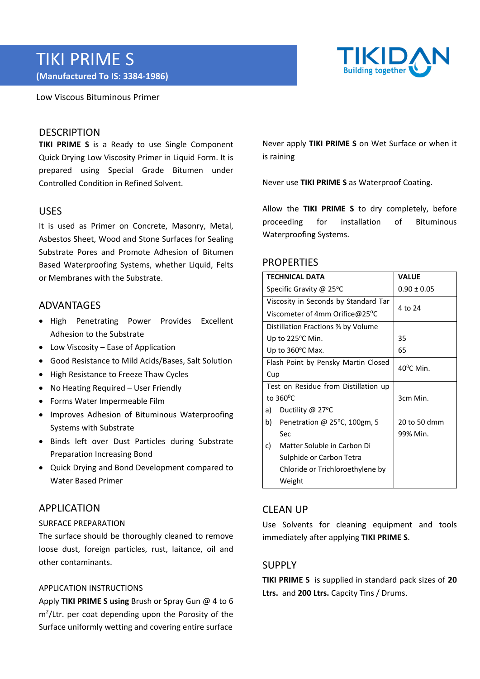# TIKI PRIME S **(Manufactured To IS: 3384‐1986)**

Low Viscous Bituminous Primer



## **DESCRIPTION**

**TIKI PRIME S** is a Ready to use Single Component Quick Drying Low Viscosity Primer in Liquid Form. It is prepared using Special Grade Bitumen under Controlled Condition in Refined Solvent.

## USES

It is used as Primer on Concrete, Masonry, Metal, Asbestos Sheet, Wood and Stone Surfaces for Sealing Substrate Pores and Promote Adhesion of Bitumen Based Waterproofing Systems, whether Liquid, Felts or Membranes with the Substrate.

# **ADVANTAGES**

- High Penetrating Power Provides Excellent Adhesion to the Substrate
- Low Viscosity Ease of Application
- Good Resistance to Mild Acids/Bases, Salt Solution
- High Resistance to Freeze Thaw Cycles
- No Heating Required User Friendly
- Forms Water Impermeable Film
- Improves Adhesion of Bituminous Waterproofing Systems with Substrate
- Binds left over Dust Particles during Substrate Preparation Increasing Bond
- Quick Drying and Bond Development compared to Water Based Primer

## APPLICATION

#### SURFACE PREPARATION

The surface should be thoroughly cleaned to remove loose dust, foreign particles, rust, laitance, oil and other contaminants.

#### APPLICATION INSTRUCTIONS

Apply **TIKI PRIME S using** Brush or Spray Gun @ 4 to 6 m2 /Ltr. per coat depending upon the Porosity of the Surface uniformly wetting and covering entire surface

Never apply **TIKI PRIME S** on Wet Surface or when it is raining

Never use **TIKI PRIME S** as Waterproof Coating.

Allow the **TIKI PRIME S** to dry completely, before proceeding for installation of Bituminous Waterproofing Systems.

#### **PROPERTIES**

| <b>TECHNICAL DATA</b>                |                                        | <b>VALUE</b>        |
|--------------------------------------|----------------------------------------|---------------------|
| Specific Gravity @ 25°C              |                                        | $0.90 \pm 0.05$     |
| Viscosity in Seconds by Standard Tar |                                        | 4 to 24             |
| Viscometer of 4mm Orifice@25°C       |                                        |                     |
| Distillation Fractions % by Volume   |                                        |                     |
| Up to 225°C Min.                     |                                        | 35                  |
| Up to $360^{\circ}$ C Max.           |                                        | 65                  |
| Flash Point by Pensky Martin Closed  |                                        | $40^{\circ}$ C Min. |
| Cup                                  |                                        |                     |
| Test on Residue from Distillation up |                                        |                     |
| to $360^{\circ}$ C                   |                                        | 3cm Min.            |
| a)                                   | Ductility $@$ 27 $°C$                  |                     |
| b)                                   | Penetration @ $25^{\circ}$ C, 100gm, 5 | 20 to 50 dmm        |
|                                      | Sec                                    | 99% Min.            |
| C)                                   | Matter Soluble in Carbon Di            |                     |
|                                      | Sulphide or Carbon Tetra               |                     |
|                                      | Chloride or Trichloroethylene by       |                     |
|                                      | Weight                                 |                     |

# CLEAN UP

Use Solvents for cleaning equipment and tools immediately after applying **TIKI PRIME S**.

## SUPPLY

**TIKI PRIME S**  is supplied in standard pack sizes of **20 Ltrs.**  and **200 Ltrs.** Capcity Tins / Drums.